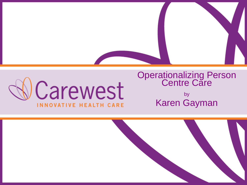



#### Operationalizing Person **Centre Care** by

Karen Gayman

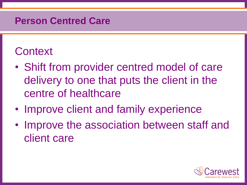### **Person Centred Care**

## **Context**

- Shift from provider centred model of care delivery to one that puts the client in the centre of healthcare
- Improve client and family experience
- Improve the association between staff and client care

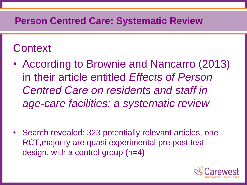# **Context**

- According to Brownie and Nancarro (2013) in their article entitled *Effects of Person Centred Care on residents and staff in age-care facilities: a systematic review*
- Search revealed: 323 potentially relevant articles, one RCT,majority are quasi experimental pre post test design, with a control group (n=4)

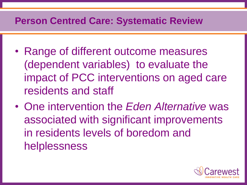- Range of different outcome measures (dependent variables) to evaluate the impact of PCC interventions on aged care residents and staff
- One intervention the *Eden Alternative* was associated with significant improvements in residents levels of boredom and helplessness

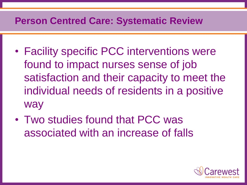- Facility specific PCC interventions were found to impact nurses sense of job satisfaction and their capacity to meet the individual needs of residents in a positive way
- Two studies found that PCC was associated with an increase of falls

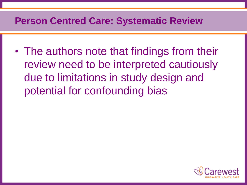• The authors note that findings from their review need to be interpreted cautiously due to limitations in study design and potential for confounding bias

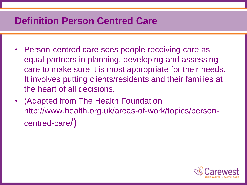### **Definition Person Centred Care**

- Person-centred care sees people receiving care as equal partners in planning, developing and assessing care to make sure it is most appropriate for their needs. It involves putting clients/residents and their families at the heart of all decisions.
- (Adapted from The Health Foundation http://www.health.org.uk/areas-of-work/topics/personcentred-care/)

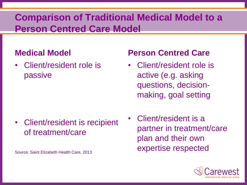#### **Medical Model**

• Client/resident role is passive

#### • Client/resident is recipient of treatment/care

Source: Saint Elizabeth Health Care, 2013

- Client/resident role is active (e.g. asking questions, decisionmaking, goal setting
- Client/resident is a partner in treatment/care plan and their own expertise respected

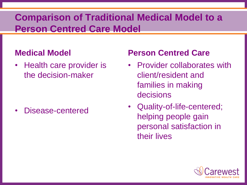#### **Medical Model**

• Health care provider is the decision-maker

Disease-centered

- Provider collaborates with client/resident and families in making decisions
- Quality-of-life-centered; helping people gain personal satisfaction in their lives

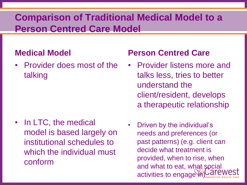#### **Medical Model**

• Provider does most of the talking

• In LTC, the medical model is based largely on institutional schedules to which the individual must conform

- Provider listens more and talks less, tries to better understand the client/resident, develops a therapeutic relationship
- Driven by the individual's needs and preferences (or past patterns) (e.g. client can decide what treatment is provided, when to rise, when and what to eat, what social activities to engage in)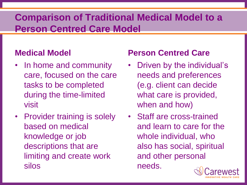#### **Medical Model**

- In home and community care, focused on the care tasks to be completed during the time-limited visit
- Provider training is solely based on medical knowledge or job descriptions that are limiting and create work silos

- Driven by the individual's needs and preferences (e.g. client can decide what care is provided, when and how)
- Staff are cross-trained and learn to care for the whole individual, who also has social, spiritual and other personal needs.

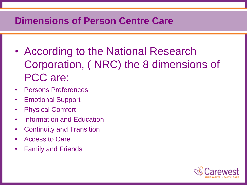### **Dimensions of Person Centre Care**

- According to the National Research Corporation, ( NRC) the 8 dimensions of PCC are:
- Persons Preferences
- Emotional Support
- **Physical Comfort**
- Information and Education
- Continuity and Transition
- Access to Care
- Family and Friends

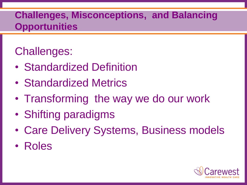### **Challenges, Misconceptions, and Balancing Opportunities**

# Challenges:

- Standardized Definition
- Standardized Metrics
- Transforming the way we do our work
- Shifting paradigms
- Care Delivery Systems, Business models
- Roles

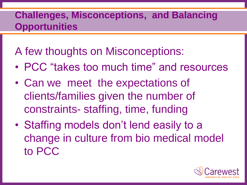### **Challenges, Misconceptions, and Balancing Opportunities**

# A few thoughts on Misconceptions:

- PCC "takes too much time" and resources
- Can we meet the expectations of clients/families given the number of constraints- staffing, time, funding
- Staffing models don't lend easily to a change in culture from bio medical model to PCC

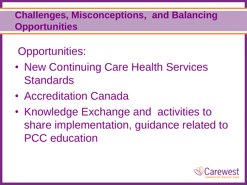### **Challenges, Misconceptions, and Balancing Opportunities**

# Opportunities:

- New Continuing Care Health Services **Standards**
- Accreditation Canada
- Knowledge Exchange and activities to share implementation, guidance related to PCC education